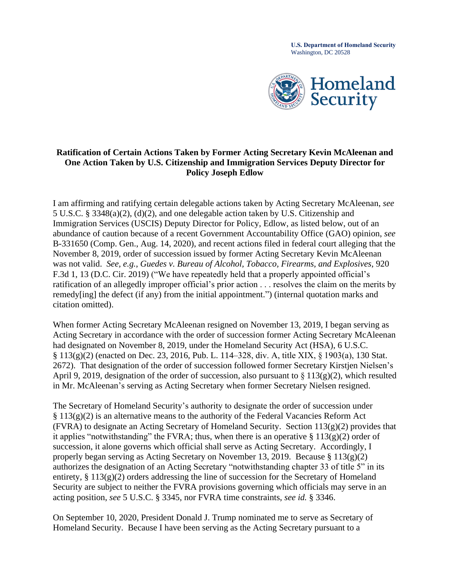**U.S. Department of Homeland Security**  Washington, DC 20528



## **Policy Joseph Edlow Ratification of Certain Actions Taken by Former Acting Secretary Kevin McAleenan and One Action Taken by U.S. Citizenship and Immigration Services Deputy Director for**

 was not valid. *See, e.g.*, *Guedes v. Bureau of Alcohol, Tobacco, Firearms, and Explosives*, 920 I am affirming and ratifying certain delegable actions taken by Acting Secretary McAleenan, *see*  5 U.S.C. § 3348(a)(2), (d)(2), and one delegable action taken by U.S. Citizenship and Immigration Services (USCIS) Deputy Director for Policy, Edlow, as listed below, out of an abundance of caution because of a recent Government Accountability Office (GAO) opinion, *see*  B-331650 (Comp. Gen., Aug. 14, 2020), and recent actions filed in federal court alleging that the November 8, 2019, order of succession issued by former Acting Secretary Kevin McAleenan F.3d 1, 13 (D.C. Cir. 2019) ("We have repeatedly held that a properly appointed official's ratification of an allegedly improper official's prior action . . . resolves the claim on the merits by remedy[ing] the defect (if any) from the initial appointment.") (internal quotation marks and citation omitted).

 2672). That designation of the order of succession followed former Secretary Kirstjen Nielsen's When former Acting Secretary McAleenan resigned on November 13, 2019, I began serving as Acting Secretary in accordance with the order of succession former Acting Secretary McAleenan had designated on November 8, 2019, under the Homeland Security Act (HSA), 6 U.S.C. § 113(g)(2) (enacted on Dec. 23, 2016, Pub. L. 114–328, div. A, title XIX, § 1903(a), 130 Stat. April 9, 2019, designation of the order of succession, also pursuant to  $\S 113(g)(2)$ , which resulted in Mr. McAleenan's serving as Acting Secretary when former Secretary Nielsen resigned.

The Secretary of Homeland Security's authority to designate the order of succession under  $§ 113(g)(2)$  is an alternative means to the authority of the Federal Vacancies Reform Act (FVRA) to designate an Acting Secretary of Homeland Security. Section  $113(g)(2)$  provides that it applies "notwithstanding" the FVRA; thus, when there is an operative  $\S 113(g)(2)$  order of succession, it alone governs which official shall serve as Acting Secretary. Accordingly, I properly began serving as Acting Secretary on November 13, 2019. Because § 113(g)(2) authorizes the designation of an Acting Secretary "notwithstanding chapter 33 of title 5" in its entirety,  $\S 113(g)(2)$  orders addressing the line of succession for the Secretary of Homeland Security are subject to neither the FVRA provisions governing which officials may serve in an acting position, *see* 5 U.S.C. § 3345, nor FVRA time constraints, *see id.* § 3346.

 Homeland Security. Because I have been serving as the Acting Secretary pursuant to a On September 10, 2020, President Donald J. Trump nominated me to serve as Secretary of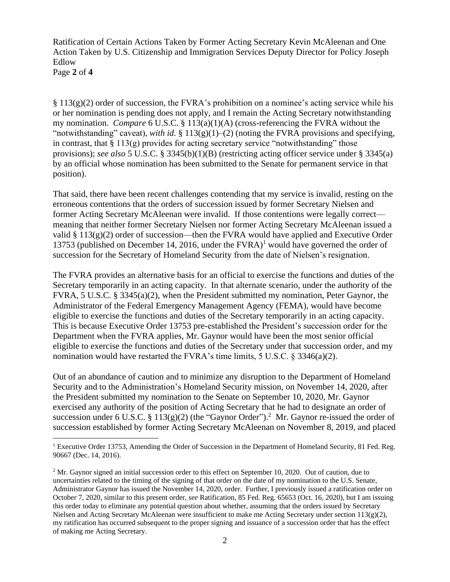Edlow Ratification of Certain Actions Taken by Former Acting Secretary Kevin McAleenan and One Action Taken by U.S. Citizenship and Immigration Services Deputy Director for Policy Joseph

Edlow Page **2** of **<sup>4</sup>**

 $\S 113(g)(2)$  order of succession, the FVRA's prohibition on a nominee's acting service while his or her nomination is pending does not apply, and I remain the Acting Secretary notwithstanding my nomination. *Compare* 6 U.S.C. § 113(a)(1)(A) (cross-referencing the FVRA without the "notwithstanding" caveat), *with id.* § 113(g)(1)–(2) (noting the FVRA provisions and specifying, in contrast, that  $\S 113(g)$  provides for acting secretary service "notwithstanding" those provisions); *see also* 5 U.S.C. § 3345(b)(1)(B) (restricting acting officer service under § 3345(a) by an official whose nomination has been submitted to the Senate for permanent service in that position).

 former Acting Secretary McAleenan were invalid. If those contentions were legally correct— That said, there have been recent challenges contending that my service is invalid, resting on the erroneous contentions that the orders of succession issued by former Secretary Nielsen and meaning that neither former Secretary Nielsen nor former Acting Secretary McAleenan issued a valid  $\S 113(g)(2)$  order of succession—then the FVRA would have applied and Executive Order 13753 (published on December 14, 2016, under the  $FVRA$ )<sup>1</sup> would have governed the order of succession for the Secretary of Homeland Security from the date of Nielsen's resignation.

eligible to exercise the functions and duties of the Secretary temporarily in an acting capacity. eligible to exercise the functions and duties of the Secretary under that succession order, and my nomination would have restarted the FVRA's time limits,  $5$  U.S.C.  $\frac{2}{5}$  3346(a)(2). The FVRA provides an alternative basis for an official to exercise the functions and duties of the Secretary temporarily in an acting capacity. In that alternate scenario, under the authority of the FVRA, 5 U.S.C. § 3345(a)(2), when the President submitted my nomination, Peter Gaynor, the Administrator of the Federal Emergency Management Agency (FEMA), would have become This is because Executive Order 13753 pre-established the President's succession order for the Department when the FVRA applies, Mr. Gaynor would have been the most senior official

succession under 6 U.S.C. § 113(g)(2) (the "Gaynor Order").<sup>2</sup> Mr. Gaynor re-issued the order of Out of an abundance of caution and to minimize any disruption to the Department of Homeland Security and to the Administration's Homeland Security mission, on November 14, 2020, after the President submitted my nomination to the Senate on September 10, 2020, Mr. Gaynor exercised any authority of the position of Acting Secretary that he had to designate an order of succession established by former Acting Secretary McAleenan on November 8, 2019, and placed

<sup>&</sup>lt;sup>1</sup> Executive Order 13753, Amending the Order of Succession in the Department of Homeland Security, 81 Fed. Reg. 90667 (Dec. 14, 2016).

 Administrator Gaynor has issued the November 14, 2020, order. Further, I previously issued a ratification order on <sup>2</sup> Mr. Gaynor signed an initial succession order to this effect on September 10, 2020. Out of caution, due to uncertainties related to the timing of the signing of that order on the date of my nomination to the U.S. Senate, October 7, 2020, similar to this present order, *see* Ratification, 85 Fed. Reg. 65653 (Oct. 16, 2020), but I am issuing this order today to eliminate any potential question about whether, assuming that the orders issued by Secretary Nielsen and Acting Secretary McAleenan were insufficient to make me Acting Secretary under section  $113(g)(2)$ , my ratification has occurred subsequent to the proper signing and issuance of a succession order that has the effect of making me Acting Secretary.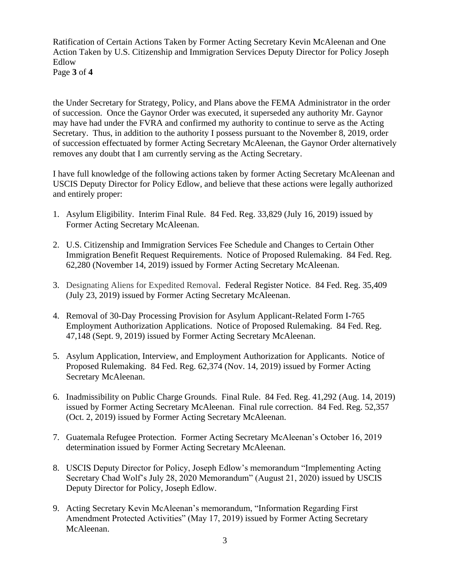Edlow Ratification of Certain Actions Taken by Former Acting Secretary Kevin McAleenan and One Action Taken by U.S. Citizenship and Immigration Services Deputy Director for Policy Joseph

Edlow Page **3** of **<sup>4</sup>**

the Under Secretary for Strategy, Policy, and Plans above the FEMA Administrator in the order of succession. Once the Gaynor Order was executed, it superseded any authority Mr. Gaynor may have had under the FVRA and confirmed my authority to continue to serve as the Acting Secretary. Thus, in addition to the authority I possess pursuant to the November 8, 2019, order of succession effectuated by former Acting Secretary McAleenan, the Gaynor Order alternatively removes any doubt that I am currently serving as the Acting Secretary.

I have full knowledge of the following actions taken by former Acting Secretary McAleenan and USCIS Deputy Director for Policy Edlow, and believe that these actions were legally authorized and entirely proper:

- 1. Asylum Eligibility. Interim Final Rule. 84 Fed. Reg. 33,829 (July 16, 2019) issued by Former Acting Secretary McAleenan.
- 2. U.S. Citizenship and Immigration Services Fee Schedule and Changes to Certain Other Immigration Benefit Request Requirements. Notice of Proposed Rulemaking. 84 Fed. Reg. 62,280 (November 14, 2019) issued by Former Acting Secretary McAleenan.
- 3. Designating Aliens for Expedited Removal. Federal Register Notice. 84 Fed. Reg. 35,409 (July 23, 2019) issued by Former Acting Secretary McAleenan.
- 4. Removal of 30-Day Processing Provision for Asylum Applicant-Related Form I-765 Employment Authorization Applications. Notice of Proposed Rulemaking. 84 Fed. Reg. 47,148 (Sept. 9, 2019) issued by Former Acting Secretary McAleenan.
- 5. Asylum Application, Interview, and Employment Authorization for Applicants. Notice of Proposed Rulemaking. 84 Fed. Reg. 62,374 (Nov. 14, 2019) issued by Former Acting Secretary McAleenan.
- 6. Inadmissibility on Public Charge Grounds. Final Rule. 84 Fed. Reg. 41,292 (Aug. 14, 2019) issued by Former Acting Secretary McAleenan. Final rule correction. 84 Fed. Reg. 52,357 (Oct. 2, 2019) issued by Former Acting Secretary McAleenan.
- 7. Guatemala Refugee Protection. Former Acting Secretary McAleenan's October 16, 2019 determination issued by Former Acting Secretary McAleenan.
- 8. USCIS Deputy Director for Policy, Joseph Edlow's memorandum "Implementing Acting Secretary Chad Wolf's July 28, 2020 Memorandum" (August 21, 2020) issued by USCIS Deputy Director for Policy, Joseph Edlow.
- 9. Acting Secretary Kevin McAleenan's memorandum, "Information Regarding First Amendment Protected Activities" (May 17, 2019) issued by Former Acting Secretary McAleenan.